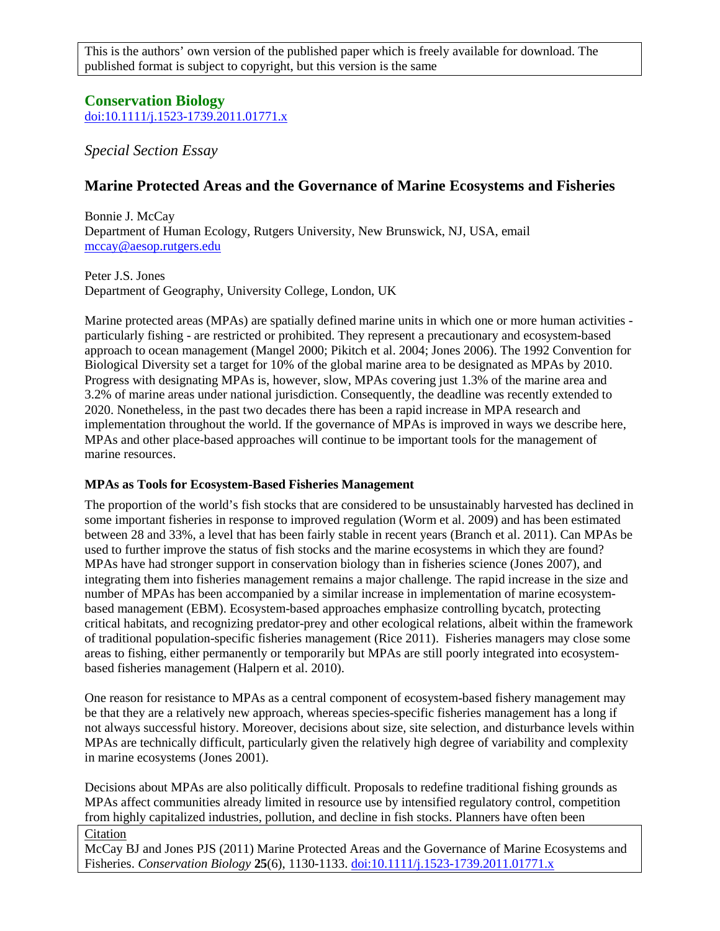**[Conservation Biology](http://onlinelibrary.wiley.com/journal/10.1111/%28ISSN%291523-1739)** [doi:10.1111/j.1523-1739.2011.01771.x](http://dx.doi.org/10.1111/j.1523-1739.2011.01771.x)

*Special Section Essay*

# **Marine Protected Areas and the Governance of Marine Ecosystems and Fisheries**

Bonnie J. McCay Department of Human Ecology, Rutgers University, New Brunswick, NJ, USA, email [mccay@aesop.rutgers.edu](mailto:mccay@aesop.rutgers.edu)

Peter J.S. Jones Department of Geography, University College, London, UK

Marine protected areas (MPAs) are spatially defined marine units in which one or more human activities particularly fishing - are restricted or prohibited. They represent a precautionary and ecosystem-based approach to ocean management (Mangel 2000; Pikitch et al. 2004; Jones 2006). The 1992 Convention for Biological Diversity set a target for 10% of the global marine area to be designated as MPAs by 2010. Progress with designating MPAs is, however, slow, MPAs covering just 1.3% of the marine area and 3.2% of marine areas under national jurisdiction. Consequently, the deadline was recently extended to 2020. Nonetheless, in the past two decades there has been a rapid increase in MPA research and implementation throughout the world. If the governance of MPAs is improved in ways we describe here, MPAs and other place-based approaches will continue to be important tools for the management of marine resources.

### **MPAs as Tools for Ecosystem-Based Fisheries Management**

The proportion of the world's fish stocks that are considered to be unsustainably harvested has declined in some important fisheries in response to improved regulation (Worm et al. 2009) and has been estimated between 28 and 33%, a level that has been fairly stable in recent years (Branch et al. 2011). Can MPAs be used to further improve the status of fish stocks and the marine ecosystems in which they are found? MPAs have had stronger support in conservation biology than in fisheries science (Jones 2007), and integrating them into fisheries management remains a major challenge. The rapid increase in the size and number of MPAs has been accompanied by a similar increase in implementation of marine ecosystembased management (EBM). Ecosystem-based approaches emphasize controlling bycatch, protecting critical habitats, and recognizing predator-prey and other ecological relations, albeit within the framework of traditional population-specific fisheries management (Rice 2011). Fisheries managers may close some areas to fishing, either permanently or temporarily but MPAs are still poorly integrated into ecosystembased fisheries management (Halpern et al. 2010).

One reason for resistance to MPAs as a central component of ecosystem-based fishery management may be that they are a relatively new approach, whereas species-specific fisheries management has a long if not always successful history. Moreover, decisions about size, site selection, and disturbance levels within MPAs are technically difficult, particularly given the relatively high degree of variability and complexity in marine ecosystems (Jones 2001).

Decisions about MPAs are also politically difficult. Proposals to redefine traditional fishing grounds as MPAs affect communities already limited in resource use by intensified regulatory control, competition from highly capitalized industries, pollution, and decline in fish stocks. Planners have often been

### Citation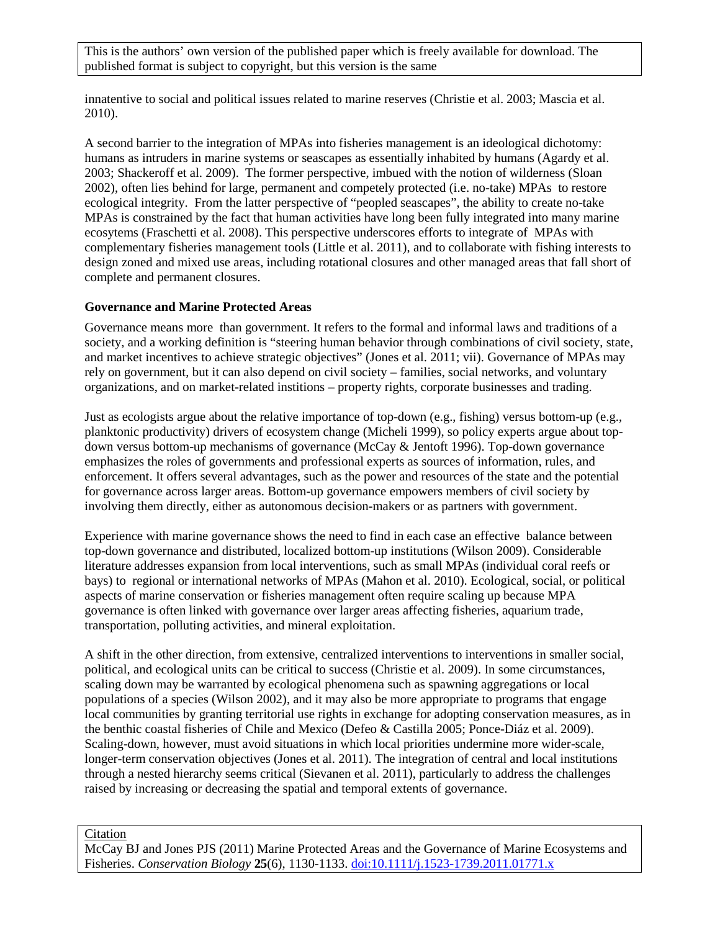innatentive to social and political issues related to marine reserves (Christie et al. 2003; Mascia et al. 2010).

A second barrier to the integration of MPAs into fisheries management is an ideological dichotomy: humans as intruders in marine systems or seascapes as essentially inhabited by humans (Agardy et al. 2003; Shackeroff et al. 2009). The former perspective, imbued with the notion of wilderness (Sloan 2002), often lies behind for large, permanent and competely protected (i.e. no-take) MPAs to restore ecological integrity. From the latter perspective of "peopled seascapes", the ability to create no-take MPAs is constrained by the fact that human activities have long been fully integrated into many marine ecosytems (Fraschetti et al. 2008). This perspective underscores efforts to integrate of MPAs with complementary fisheries management tools (Little et al. 2011), and to collaborate with fishing interests to design zoned and mixed use areas, including rotational closures and other managed areas that fall short of complete and permanent closures.

#### **Governance and Marine Protected Areas**

Governance means more than government. It refers to the formal and informal laws and traditions of a society, and a working definition is "steering human behavior through combinations of civil society, state, and market incentives to achieve strategic objectives" (Jones et al. 2011; vii). Governance of MPAs may rely on government, but it can also depend on civil society – families, social networks, and voluntary organizations, and on market-related institions – property rights, corporate businesses and trading.

Just as ecologists argue about the relative importance of top-down (e.g., fishing) versus bottom-up (e.g., planktonic productivity) drivers of ecosystem change (Micheli 1999), so policy experts argue about topdown versus bottom-up mechanisms of governance (McCay & Jentoft 1996). Top-down governance emphasizes the roles of governments and professional experts as sources of information, rules, and enforcement. It offers several advantages, such as the power and resources of the state and the potential for governance across larger areas. Bottom-up governance empowers members of civil society by involving them directly, either as autonomous decision-makers or as partners with government.

Experience with marine governance shows the need to find in each case an effective balance between top-down governance and distributed, localized bottom-up institutions (Wilson 2009). Considerable literature addresses expansion from local interventions, such as small MPAs (individual coral reefs or bays) to regional or international networks of MPAs (Mahon et al. 2010). Ecological, social, or political aspects of marine conservation or fisheries management often require scaling up because MPA governance is often linked with governance over larger areas affecting fisheries, aquarium trade, transportation, polluting activities, and mineral exploitation.

A shift in the other direction, from extensive, centralized interventions to interventions in smaller social, political, and ecological units can be critical to success (Christie et al. 2009). In some circumstances, scaling down may be warranted by ecological phenomena such as spawning aggregations or local populations of a species (Wilson 2002), and it may also be more appropriate to programs that engage local communities by granting territorial use rights in exchange for adopting conservation measures, as in the benthic coastal fisheries of Chile and Mexico (Defeo & Castilla 2005; Ponce-Diáz et al. 2009). Scaling-down, however, must avoid situations in which local priorities undermine more wider-scale, longer-term conservation objectives (Jones et al. 2011). The integration of central and local institutions through a nested hierarchy seems critical (Sievanen et al. 2011), particularly to address the challenges raised by increasing or decreasing the spatial and temporal extents of governance.

Citation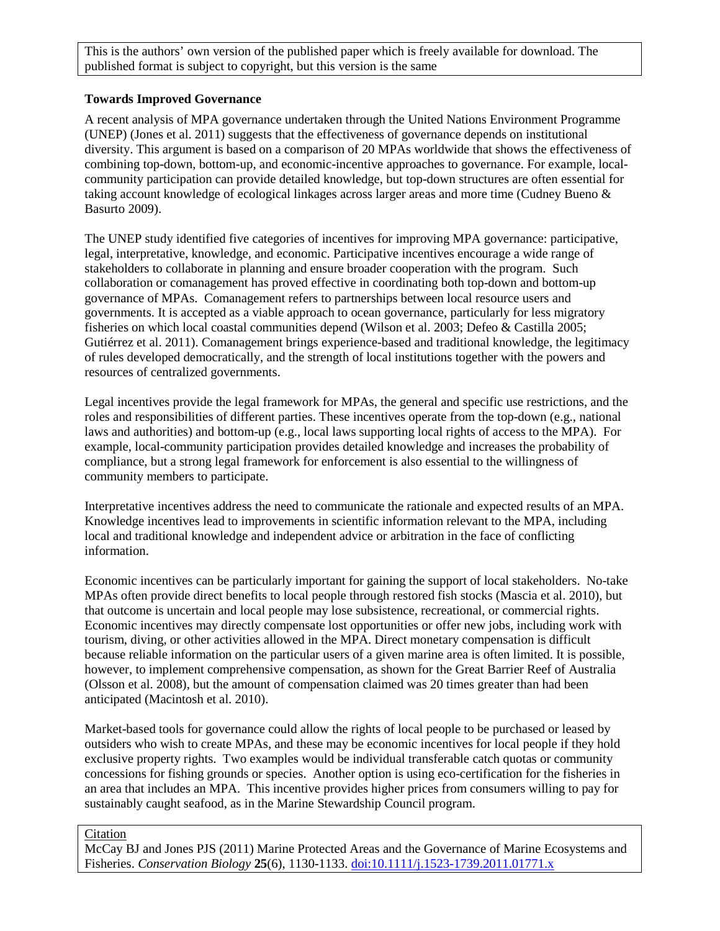### **Towards Improved Governance**

A recent analysis of MPA governance undertaken through the United Nations Environment Programme (UNEP) (Jones et al. 2011) suggests that the effectiveness of governance depends on institutional diversity. This argument is based on a comparison of 20 MPAs worldwide that shows the effectiveness of combining top-down, bottom-up, and economic-incentive approaches to governance. For example, localcommunity participation can provide detailed knowledge, but top-down structures are often essential for taking account knowledge of ecological linkages across larger areas and more time (Cudney Bueno & Basurto 2009).

The UNEP study identified five categories of incentives for improving MPA governance: participative, legal, interpretative, knowledge, and economic. Participative incentives encourage a wide range of stakeholders to collaborate in planning and ensure broader cooperation with the program. Such collaboration or comanagement has proved effective in coordinating both top-down and bottom-up governance of MPAs. Comanagement refers to partnerships between local resource users and governments. It is accepted as a viable approach to ocean governance, particularly for less migratory fisheries on which local coastal communities depend (Wilson et al. 2003; Defeo & Castilla 2005; Gutiérrez et al. 2011). Comanagement brings experience-based and traditional knowledge, the legitimacy of rules developed democratically, and the strength of local institutions together with the powers and resources of centralized governments.

Legal incentives provide the legal framework for MPAs, the general and specific use restrictions, and the roles and responsibilities of different parties. These incentives operate from the top-down (e.g., national laws and authorities) and bottom-up (e.g., local laws supporting local rights of access to the MPA). For example, local-community participation provides detailed knowledge and increases the probability of compliance, but a strong legal framework for enforcement is also essential to the willingness of community members to participate.

Interpretative incentives address the need to communicate the rationale and expected results of an MPA. Knowledge incentives lead to improvements in scientific information relevant to the MPA, including local and traditional knowledge and independent advice or arbitration in the face of conflicting information.

Economic incentives can be particularly important for gaining the support of local stakeholders. No-take MPAs often provide direct benefits to local people through restored fish stocks (Mascia et al. 2010), but that outcome is uncertain and local people may lose subsistence, recreational, or commercial rights. Economic incentives may directly compensate lost opportunities or offer new jobs, including work with tourism, diving, or other activities allowed in the MPA. Direct monetary compensation is difficult because reliable information on the particular users of a given marine area is often limited. It is possible, however, to implement comprehensive compensation, as shown for the Great Barrier Reef of Australia (Olsson et al. 2008), but the amount of compensation claimed was 20 times greater than had been anticipated (Macintosh et al. 2010).

Market-based tools for governance could allow the rights of local people to be purchased or leased by outsiders who wish to create MPAs, and these may be economic incentives for local people if they hold exclusive property rights. Two examples would be individual transferable catch quotas or community concessions for fishing grounds or species. Another option is using eco-certification for the fisheries in an area that includes an MPA. This incentive provides higher prices from consumers willing to pay for sustainably caught seafood, as in the Marine Stewardship Council program.

Citation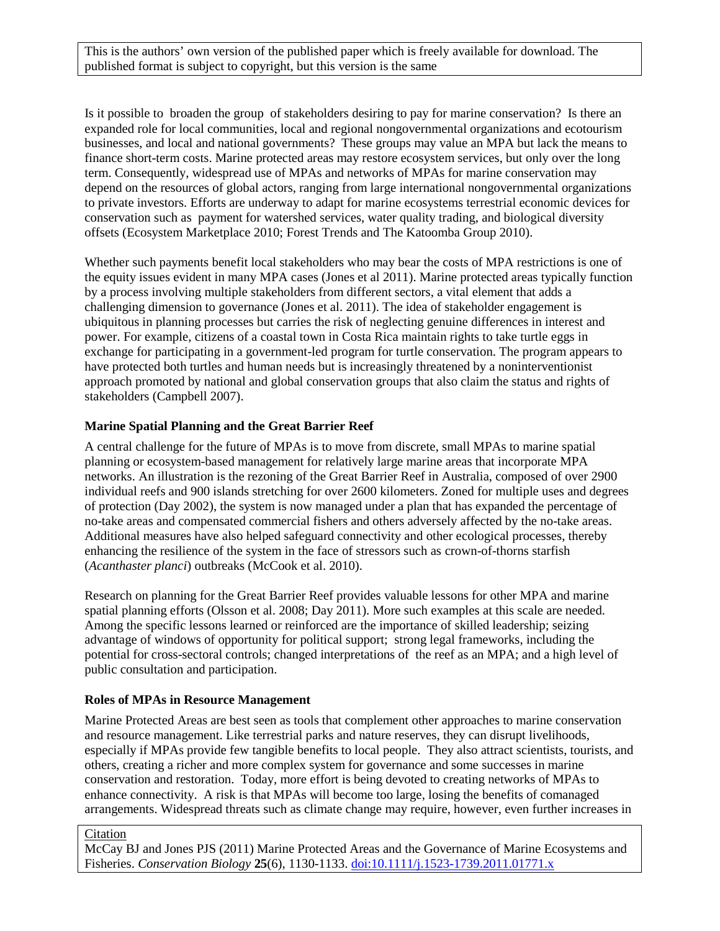Is it possible to broaden the group of stakeholders desiring to pay for marine conservation? Is there an expanded role for local communities, local and regional nongovernmental organizations and ecotourism businesses, and local and national governments? These groups may value an MPA but lack the means to finance short-term costs. Marine protected areas may restore ecosystem services, but only over the long term. Consequently, widespread use of MPAs and networks of MPAs for marine conservation may depend on the resources of global actors, ranging from large international nongovernmental organizations to private investors. Efforts are underway to adapt for marine ecosystems terrestrial economic devices for conservation such as payment for watershed services, water quality trading, and biological diversity offsets (Ecosystem Marketplace 2010; Forest Trends and The Katoomba Group 2010).

Whether such payments benefit local stakeholders who may bear the costs of MPA restrictions is one of the equity issues evident in many MPA cases (Jones et al 2011). Marine protected areas typically function by a process involving multiple stakeholders from different sectors, a vital element that adds a challenging dimension to governance (Jones et al. 2011). The idea of stakeholder engagement is ubiquitous in planning processes but carries the risk of neglecting genuine differences in interest and power. For example, citizens of a coastal town in Costa Rica maintain rights to take turtle eggs in exchange for participating in a government-led program for turtle conservation. The program appears to have protected both turtles and human needs but is increasingly threatened by a noninterventionist approach promoted by national and global conservation groups that also claim the status and rights of stakeholders (Campbell 2007).

## **Marine Spatial Planning and the Great Barrier Reef**

A central challenge for the future of MPAs is to move from discrete, small MPAs to marine spatial planning or ecosystem-based management for relatively large marine areas that incorporate MPA networks. An illustration is the rezoning of the Great Barrier Reef in Australia, composed of over 2900 individual reefs and 900 islands stretching for over 2600 kilometers. Zoned for multiple uses and degrees of protection (Day 2002), the system is now managed under a plan that has expanded the percentage of no-take areas and compensated commercial fishers and others adversely affected by the no-take areas. Additional measures have also helped safeguard connectivity and other ecological processes, thereby enhancing the resilience of the system in the face of stressors such as crown-of-thorns starfish (*Acanthaster planci*) outbreaks (McCook et al. 2010).

Research on planning for the Great Barrier Reef provides valuable lessons for other MPA and marine spatial planning efforts (Olsson et al. 2008; Day 2011). More such examples at this scale are needed. Among the specific lessons learned or reinforced are the importance of skilled leadership; seizing advantage of windows of opportunity for political support; strong legal frameworks, including the potential for cross-sectoral controls; changed interpretations of the reef as an MPA; and a high level of public consultation and participation.

### **Roles of MPAs in Resource Management**

Marine Protected Areas are best seen as tools that complement other approaches to marine conservation and resource management. Like terrestrial parks and nature reserves, they can disrupt livelihoods, especially if MPAs provide few tangible benefits to local people. They also attract scientists, tourists, and others, creating a richer and more complex system for governance and some successes in marine conservation and restoration. Today, more effort is being devoted to creating networks of MPAs to enhance connectivity. A risk is that MPAs will become too large, losing the benefits of comanaged arrangements. Widespread threats such as climate change may require, however, even further increases in

Citation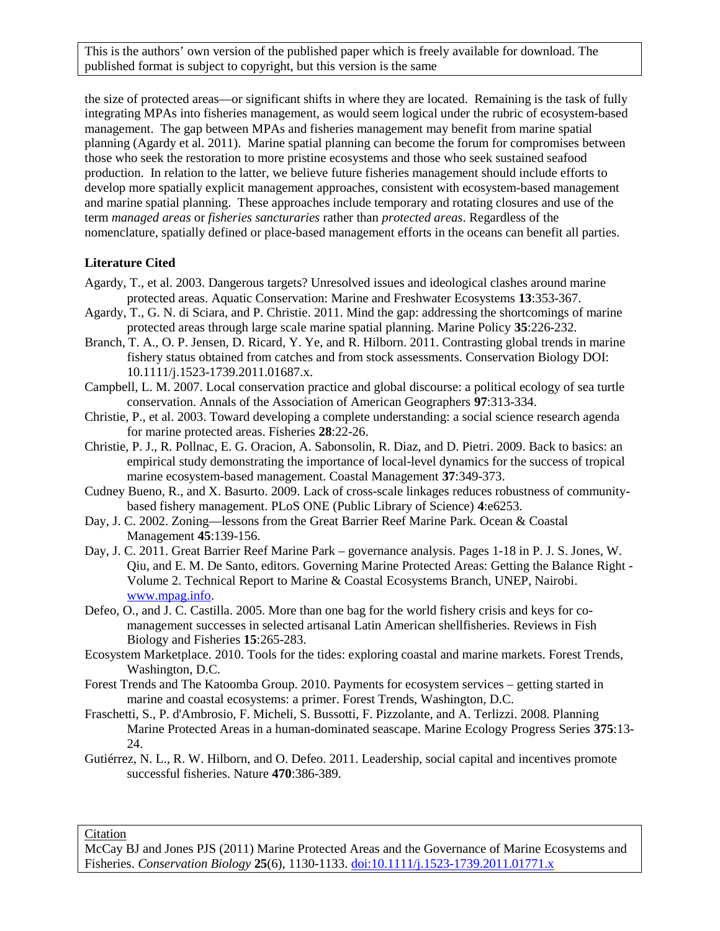the size of protected areas—or significant shifts in where they are located. Remaining is the task of fully integrating MPAs into fisheries management, as would seem logical under the rubric of ecosystem-based management. The gap between MPAs and fisheries management may benefit from marine spatial planning (Agardy et al. 2011). Marine spatial planning can become the forum for compromises between those who seek the restoration to more pristine ecosystems and those who seek sustained seafood production. In relation to the latter, we believe future fisheries management should include efforts to develop more spatially explicit management approaches, consistent with ecosystem-based management and marine spatial planning. These approaches include temporary and rotating closures and use of the term *managed areas* or *fisheries sancturaries* rather than *protected areas*. Regardless of the nomenclature, spatially defined or place-based management efforts in the oceans can benefit all parties.

## **Literature Cited**

- Agardy, T., et al. 2003. Dangerous targets? Unresolved issues and ideological clashes around marine protected areas. Aquatic Conservation: Marine and Freshwater Ecosystems **13**:353-367.
- Agardy, T., G. N. di Sciara, and P. Christie. 2011. Mind the gap: addressing the shortcomings of marine protected areas through large scale marine spatial planning. Marine Policy **35**:226-232.
- Branch, T. A., O. P. Jensen, D. Ricard, Y. Ye, and R. Hilborn. 2011. Contrasting global trends in marine fishery status obtained from catches and from stock assessments. Conservation Biology DOI: 10.1111/j.1523-1739.2011.01687.x.
- Campbell, L. M. 2007. Local conservation practice and global discourse: a political ecology of sea turtle conservation. Annals of the Association of American Geographers **97**:313-334.
- Christie, P., et al. 2003. Toward developing a complete understanding: a social science research agenda for marine protected areas. Fisheries **28**:22-26.
- Christie, P. J., R. Pollnac, E. G. Oracion, A. Sabonsolin, R. Diaz, and D. Pietri. 2009. Back to basics: an empirical study demonstrating the importance of local-level dynamics for the success of tropical marine ecosystem-based management. Coastal Management **37**:349-373.
- Cudney Bueno, R., and X. Basurto. 2009. Lack of cross-scale linkages reduces robustness of communitybased fishery management. PLoS ONE (Public Library of Science) **4**:e6253.
- Day, J. C. 2002. Zoning—lessons from the Great Barrier Reef Marine Park. Ocean & Coastal Management **45**:139-156.
- Day, J. C. 2011. Great Barrier Reef Marine Park governance analysis. Pages 1-18 in P. J. S. Jones, W. Qiu, and E. M. De Santo, editors. Governing Marine Protected Areas: Getting the Balance Right - Volume 2. Technical Report to Marine & Coastal Ecosystems Branch, UNEP, Nairobi. [www.mpag.info](http://www.mpag.info/).
- Defeo, O., and J. C. Castilla. 2005. More than one bag for the world fishery crisis and keys for comanagement successes in selected artisanal Latin American shellfisheries. Reviews in Fish Biology and Fisheries **15**:265-283.
- Ecosystem Marketplace. 2010. Tools for the tides: exploring coastal and marine markets. Forest Trends, Washington, D.C.
- Forest Trends and The Katoomba Group. 2010. Payments for ecosystem services getting started in marine and coastal ecosystems: a primer. Forest Trends, Washington, D.C.
- Fraschetti, S., P. d'Ambrosio, F. Micheli, S. Bussotti, F. Pizzolante, and A. Terlizzi. 2008. Planning Marine Protected Areas in a human-dominated seascape. Marine Ecology Progress Series **375**:13- 24.
- Gutiérrez, N. L., R. W. Hilborn, and O. Defeo. 2011. Leadership, social capital and incentives promote successful fisheries. Nature **470**:386-389.

Citation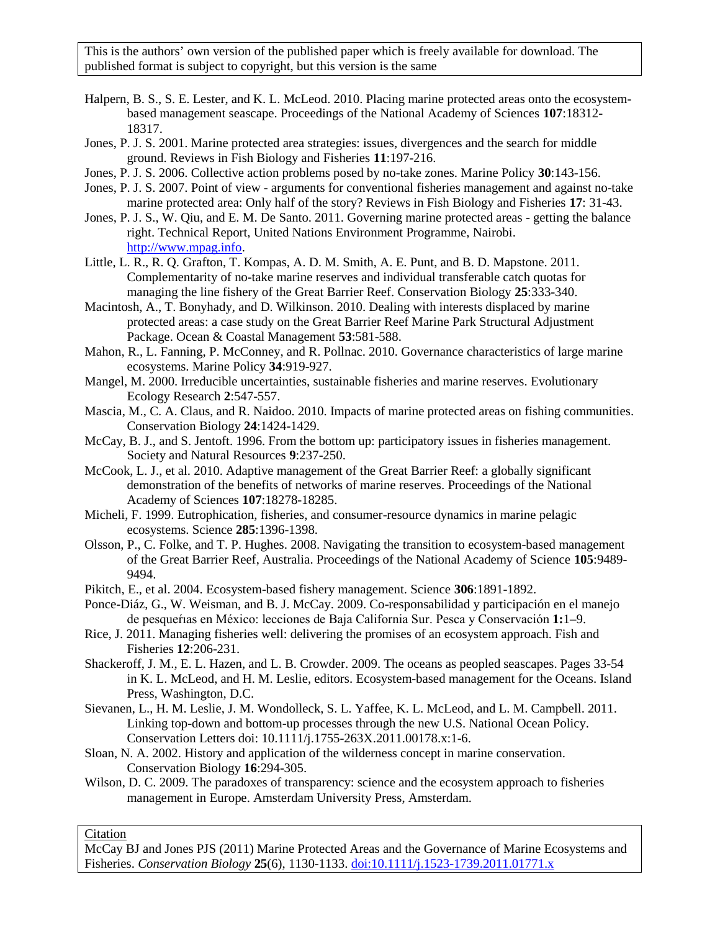- Halpern, B. S., S. E. Lester, and K. L. McLeod. 2010. Placing marine protected areas onto the ecosystembased management seascape. Proceedings of the National Academy of Sciences **107**:18312- 18317.
- Jones, P. J. S. 2001. Marine protected area strategies: issues, divergences and the search for middle ground. Reviews in Fish Biology and Fisheries **11**:197-216.
- Jones, P. J. S. 2006. Collective action problems posed by no-take zones. Marine Policy **30**:143-156.
- Jones, P. J. S. 2007. Point of view arguments for conventional fisheries management and against no-take marine protected area: Only half of the story? Reviews in Fish Biology and Fisheries **17**: 31-43.
- Jones, P. J. S., W. Qiu, and E. M. De Santo. 2011. Governing marine protected areas getting the balance right. Technical Report, United Nations Environment Programme, Nairobi. [http://www.mpag.info.](http://www.mpag.info/)
- Little, L. R., R. Q. Grafton, T. Kompas, A. D. M. Smith, A. E. Punt, and B. D. Mapstone. 2011. Complementarity of no-take marine reserves and individual transferable catch quotas for managing the line fishery of the Great Barrier Reef. Conservation Biology **25**:333-340.
- Macintosh, A., T. Bonyhady, and D. Wilkinson. 2010. Dealing with interests displaced by marine protected areas: a case study on the Great Barrier Reef Marine Park Structural Adjustment Package. Ocean & Coastal Management **53**:581-588.
- Mahon, R., L. Fanning, P. McConney, and R. Pollnac. 2010. Governance characteristics of large marine ecosystems. Marine Policy **34**:919-927.
- Mangel, M. 2000. Irreducible uncertainties, sustainable fisheries and marine reserves. Evolutionary Ecology Research **2**:547-557.
- Mascia, M., C. A. Claus, and R. Naidoo. 2010. Impacts of marine protected areas on fishing communities. Conservation Biology **24**:1424-1429.
- McCay, B. J., and S. Jentoft. 1996. From the bottom up: participatory issues in fisheries management. Society and Natural Resources **9**:237-250.
- McCook, L. J., et al. 2010. Adaptive management of the Great Barrier Reef: a globally significant demonstration of the benefits of networks of marine reserves. Proceedings of the National Academy of Sciences **107**:18278-18285.
- Micheli, F. 1999. Eutrophication, fisheries, and consumer-resource dynamics in marine pelagic ecosystems. Science **285**:1396-1398.
- Olsson, P., C. Folke, and T. P. Hughes. 2008. Navigating the transition to ecosystem-based management of the Great Barrier Reef, Australia. Proceedings of the National Academy of Science **105**:9489- 9494.
- Pikitch, E., et al. 2004. Ecosystem-based fishery management. Science **306**:1891-1892.
- Ponce-Diáz, G., W. Weisman, and B. J. McCay. 2009. Co-responsabilidad y participación en el manejo de pesqueŕıas en México: lecciones de Baja California Sur. Pesca y Conservación **1:**1–9.
- Rice, J. 2011. Managing fisheries well: delivering the promises of an ecosystem approach. Fish and Fisheries **12**:206-231.
- Shackeroff, J. M., E. L. Hazen, and L. B. Crowder. 2009. The oceans as peopled seascapes. Pages 33-54 in K. L. McLeod, and H. M. Leslie, editors. Ecosystem-based management for the Oceans. Island Press, Washington, D.C.
- Sievanen, L., H. M. Leslie, J. M. Wondolleck, S. L. Yaffee, K. L. McLeod, and L. M. Campbell. 2011. Linking top-down and bottom-up processes through the new U.S. National Ocean Policy. Conservation Letters doi: 10.1111/j.1755-263X.2011.00178.x:1-6.
- Sloan, N. A. 2002. History and application of the wilderness concept in marine conservation. Conservation Biology **16**:294-305.
- Wilson, D. C. 2009. The paradoxes of transparency: science and the ecosystem approach to fisheries management in Europe. Amsterdam University Press, Amsterdam.

Citation